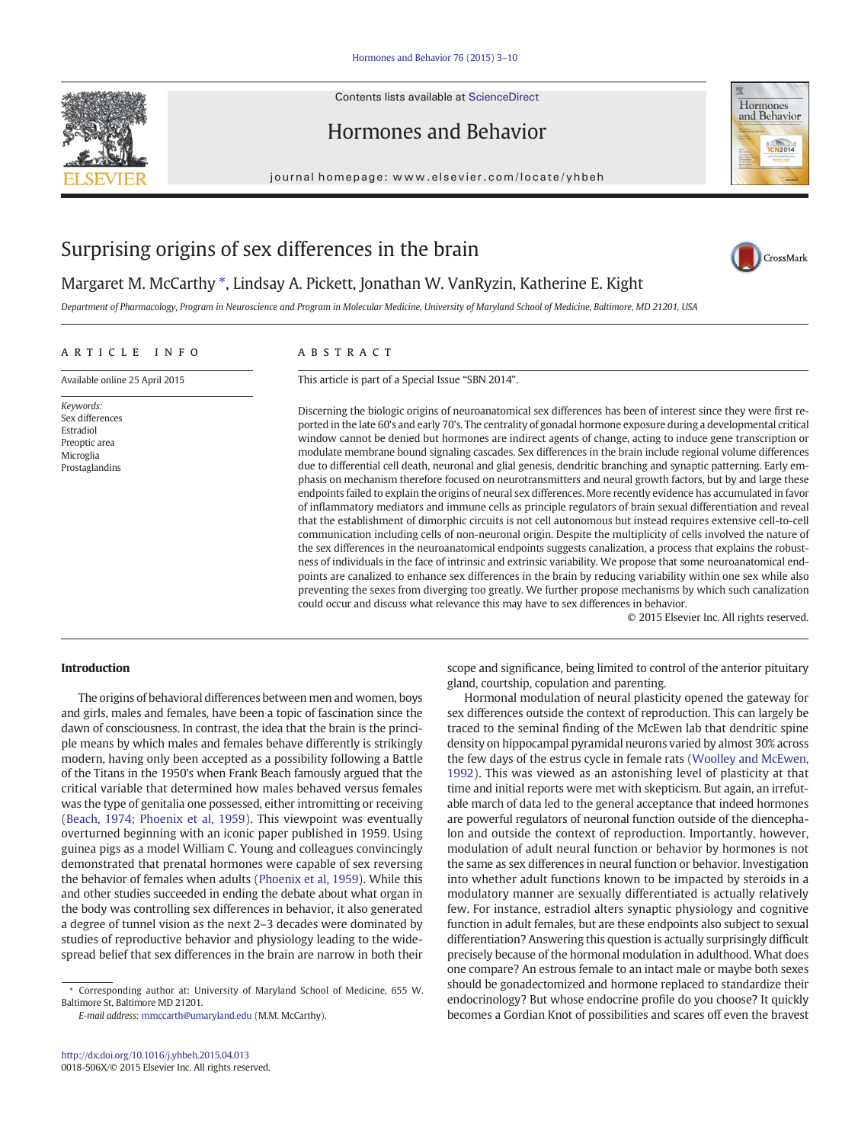Contents lists available at ScienceDirect





journal homepage:<www.elsevier.com/locate/yhbeh>



## Surprising origins of sex differences in the brain

# CrossMark

Margaret M. McCarthy \*, Lindsay A. Pickett, Jonathan W. VanRyzin, Katherine E. Kight Department of Pharmacology, Program in Neuroscience and Program in Molecular Medicine, University of Maryland School of Medicine, Baltimore, MD 21201, USA

### article info abstract

Available online 25 April 2015

Keywords: Sex differences Estradiol Preoptic area Microglia Prostaglandins

This article is part of a Special Issue "SBN 2014".

Discerning the biologic origins of neuroanatomical sex differences has been of interest since they were first reported in the late 60's and early 70's. The centrality of gonadal hormone exposure during a developmental critical window cannot be denied but hormones are indirect agents of change, acting to induce gene transcription or modulate membrane bound signaling cascades. Sex differences in the brain include regional volume differences due to differential cell death, neuronal and glial genesis, dendritic branching and synaptic patterning. Early emphasis on mechanism therefore focused on neurotransmitters and neural growth factors, but by and large these endpoints failed to explain the origins of neural sex differences. More recently evidence has accumulated in favor of inflammatory mediators and immune cells as principle regulators of brain sexual differentiation and reveal that the establishment of dimorphic circuits is not cell autonomous but instead requires extensive cell-to-cell communication including cells of non-neuronal origin. Despite the multiplicity of cells involved the nature of the sex differences in the neuroanatomical endpoints suggests canalization, a process that explains the robustness of individuals in the face of intrinsic and extrinsic variability. We propose that some neuroanatomical endpoints are canalized to enhance sex differences in the brain by reducing variability within one sex while also preventing the sexes from diverging too greatly. We further propose mechanisms by which such canalization could occur and discuss what relevance this may have to sex differences in behavior.

© 2015 Elsevier Inc. All rights reserved.

## Introduction

The origins of behavioral differences between men and women, boys and girls, males and females, have been a topic of fascination since the dawn of consciousness. In contrast, the idea that the brain is the principle means by which males and females behave differently is strikingly modern, having only been accepted as a possibility following a Battle of the Titans in the 1950's when Frank Beach famously argued that the critical variable that determined how males behaved versus females was the type of genitalia one possessed, either intromitting or receiving [\(Beach, 1974; Phoenix et al, 1959](#page--1-0)). This viewpoint was eventually overturned beginning with an iconic paper published in 1959. Using guinea pigs as a model William C. Young and colleagues convincingly demonstrated that prenatal hormones were capable of sex reversing the behavior of females when adults ([Phoenix et al, 1959\)](#page--1-0). While this and other studies succeeded in ending the debate about what organ in the body was controlling sex differences in behavior, it also generated a degree of tunnel vision as the next 2–3 decades were dominated by studies of reproductive behavior and physiology leading to the widespread belief that sex differences in the brain are narrow in both their

E-mail address: [mmccarth@umaryland.edu](mailto:mmccarth@umaryland.edu) (M.M. McCarthy).

scope and significance, being limited to control of the anterior pituitary gland, courtship, copulation and parenting.

Hormonal modulation of neural plasticity opened the gateway for sex differences outside the context of reproduction. This can largely be traced to the seminal finding of the McEwen lab that dendritic spine density on hippocampal pyramidal neurons varied by almost 30% across the few days of the estrus cycle in female rats ([Woolley and McEwen,](#page--1-0) [1992\)](#page--1-0). This was viewed as an astonishing level of plasticity at that time and initial reports were met with skepticism. But again, an irrefutable march of data led to the general acceptance that indeed hormones are powerful regulators of neuronal function outside of the diencephalon and outside the context of reproduction. Importantly, however, modulation of adult neural function or behavior by hormones is not the same as sex differences in neural function or behavior. Investigation into whether adult functions known to be impacted by steroids in a modulatory manner are sexually differentiated is actually relatively few. For instance, estradiol alters synaptic physiology and cognitive function in adult females, but are these endpoints also subject to sexual differentiation? Answering this question is actually surprisingly difficult precisely because of the hormonal modulation in adulthood. What does one compare? An estrous female to an intact male or maybe both sexes should be gonadectomized and hormone replaced to standardize their endocrinology? But whose endocrine profile do you choose? It quickly becomes a Gordian Knot of possibilities and scares off even the bravest

Corresponding author at: University of Maryland School of Medicine, 655 W. Baltimore St, Baltimore MD 21201.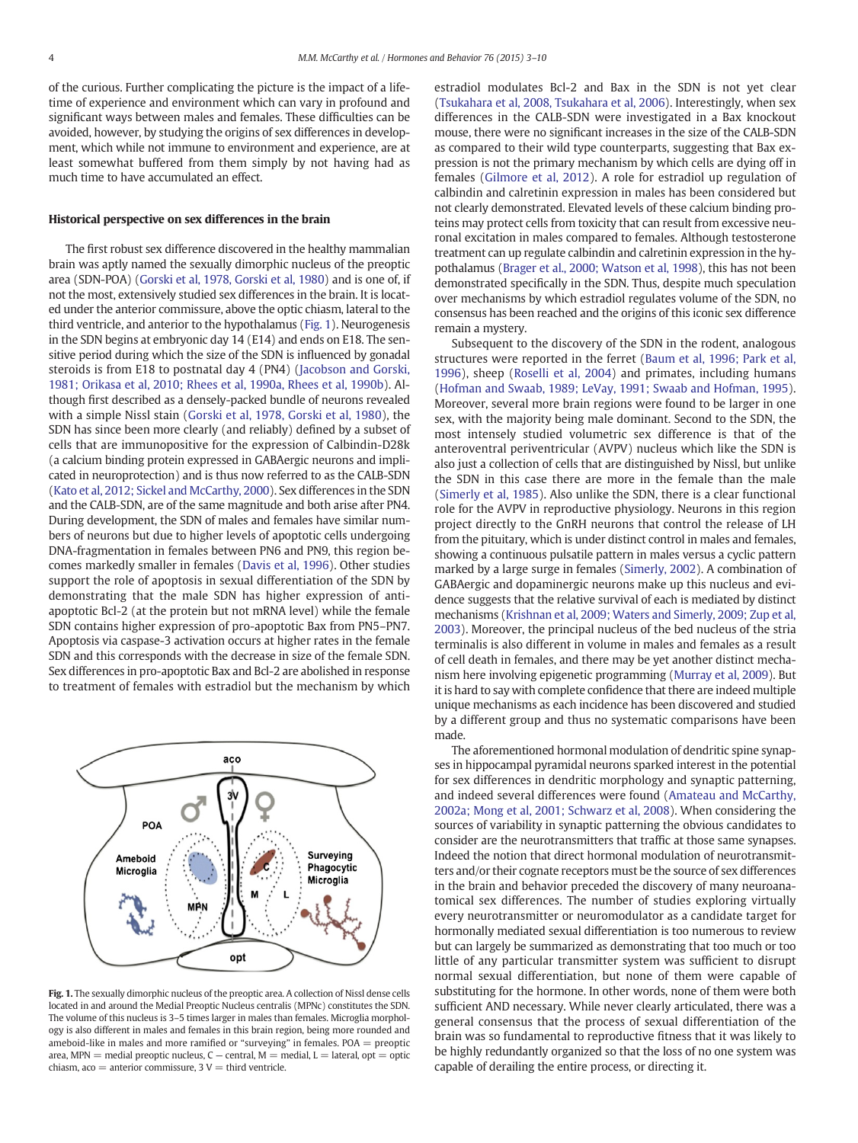of the curious. Further complicating the picture is the impact of a lifetime of experience and environment which can vary in profound and significant ways between males and females. These difficulties can be avoided, however, by studying the origins of sex differences in development, which while not immune to environment and experience, are at least somewhat buffered from them simply by not having had as much time to have accumulated an effect.

## Historical perspective on sex differences in the brain

The first robust sex difference discovered in the healthy mammalian brain was aptly named the sexually dimorphic nucleus of the preoptic area (SDN-POA) [\(Gorski et al, 1978, Gorski et al, 1980](#page--1-0)) and is one of, if not the most, extensively studied sex differences in the brain. It is located under the anterior commissure, above the optic chiasm, lateral to the third ventricle, and anterior to the hypothalamus (Fig. 1). Neurogenesis in the SDN begins at embryonic day 14 (E14) and ends on E18. The sensitive period during which the size of the SDN is influenced by gonadal steroids is from E18 to postnatal day 4 (PN4) ([Jacobson and Gorski,](#page--1-0) [1981; Orikasa et al, 2010; Rhees et al, 1990a, Rhees et al, 1990b](#page--1-0)). Although first described as a densely-packed bundle of neurons revealed with a simple Nissl stain ([Gorski et al, 1978, Gorski et al, 1980\)](#page--1-0), the SDN has since been more clearly (and reliably) defined by a subset of cells that are immunopositive for the expression of Calbindin-D28k (a calcium binding protein expressed in GABAergic neurons and implicated in neuroprotection) and is thus now referred to as the CALB-SDN [\(Kato et al, 2012; Sickel and McCarthy, 2000\)](#page--1-0). Sex differences in the SDN and the CALB-SDN, are of the same magnitude and both arise after PN4. During development, the SDN of males and females have similar numbers of neurons but due to higher levels of apoptotic cells undergoing DNA-fragmentation in females between PN6 and PN9, this region becomes markedly smaller in females [\(Davis et al, 1996](#page--1-0)). Other studies support the role of apoptosis in sexual differentiation of the SDN by demonstrating that the male SDN has higher expression of antiapoptotic Bcl-2 (at the protein but not mRNA level) while the female SDN contains higher expression of pro-apoptotic Bax from PN5–PN7. Apoptosis via caspase-3 activation occurs at higher rates in the female SDN and this corresponds with the decrease in size of the female SDN. Sex differences in pro-apoptotic Bax and Bcl-2 are abolished in response to treatment of females with estradiol but the mechanism by which



Fig. 1. The sexually dimorphic nucleus of the preoptic area. A collection of Nissl dense cells located in and around the Medial Preoptic Nucleus centralis (MPNc) constitutes the SDN. The volume of this nucleus is 3–5 times larger in males than females. Microglia morphology is also different in males and females in this brain region, being more rounded and ameboid-like in males and more ramified or "surveying" in females.  $POA =$  preoptic area, MPN = medial preoptic nucleus,  $C$  – central,  $M$  = medial,  $L$  = lateral,  $opt$  = optic chiasm,  $aco =$  anterior commissure,  $3 V =$  third ventricle.

estradiol modulates Bcl-2 and Bax in the SDN is not yet clear [\(Tsukahara et al, 2008, Tsukahara et al, 2006\)](#page--1-0). Interestingly, when sex differences in the CALB-SDN were investigated in a Bax knockout mouse, there were no significant increases in the size of the CALB-SDN as compared to their wild type counterparts, suggesting that Bax expression is not the primary mechanism by which cells are dying off in females ([Gilmore et al, 2012](#page--1-0)). A role for estradiol up regulation of calbindin and calretinin expression in males has been considered but not clearly demonstrated. Elevated levels of these calcium binding proteins may protect cells from toxicity that can result from excessive neuronal excitation in males compared to females. Although testosterone treatment can up regulate calbindin and calretinin expression in the hypothalamus [\(Brager et al., 2000; Watson et al, 1998\)](#page--1-0), this has not been demonstrated specifically in the SDN. Thus, despite much speculation over mechanisms by which estradiol regulates volume of the SDN, no consensus has been reached and the origins of this iconic sex difference remain a mystery.

Subsequent to the discovery of the SDN in the rodent, analogous structures were reported in the ferret ([Baum et al, 1996; Park et al,](#page--1-0) [1996](#page--1-0)), sheep ([Roselli et al, 2004\)](#page--1-0) and primates, including humans [\(Hofman and Swaab, 1989; LeVay, 1991; Swaab and Hofman, 1995](#page--1-0)). Moreover, several more brain regions were found to be larger in one sex, with the majority being male dominant. Second to the SDN, the most intensely studied volumetric sex difference is that of the anteroventral periventricular (AVPV) nucleus which like the SDN is also just a collection of cells that are distinguished by Nissl, but unlike the SDN in this case there are more in the female than the male [\(Simerly et al, 1985](#page--1-0)). Also unlike the SDN, there is a clear functional role for the AVPV in reproductive physiology. Neurons in this region project directly to the GnRH neurons that control the release of LH from the pituitary, which is under distinct control in males and females, showing a continuous pulsatile pattern in males versus a cyclic pattern marked by a large surge in females ([Simerly, 2002](#page--1-0)). A combination of GABAergic and dopaminergic neurons make up this nucleus and evidence suggests that the relative survival of each is mediated by distinct mechanisms [\(Krishnan et al, 2009; Waters and Simerly, 2009; Zup et al,](#page--1-0) [2003\)](#page--1-0). Moreover, the principal nucleus of the bed nucleus of the stria terminalis is also different in volume in males and females as a result of cell death in females, and there may be yet another distinct mechanism here involving epigenetic programming [\(Murray et al, 2009](#page--1-0)). But it is hard to say with complete confidence that there are indeed multiple unique mechanisms as each incidence has been discovered and studied by a different group and thus no systematic comparisons have been made.

The aforementioned hormonal modulation of dendritic spine synapses in hippocampal pyramidal neurons sparked interest in the potential for sex differences in dendritic morphology and synaptic patterning, and indeed several differences were found [\(Amateau and McCarthy,](#page--1-0) [2002a; Mong et al, 2001; Schwarz et al, 2008\)](#page--1-0). When considering the sources of variability in synaptic patterning the obvious candidates to consider are the neurotransmitters that traffic at those same synapses. Indeed the notion that direct hormonal modulation of neurotransmitters and/or their cognate receptors must be the source of sex differences in the brain and behavior preceded the discovery of many neuroanatomical sex differences. The number of studies exploring virtually every neurotransmitter or neuromodulator as a candidate target for hormonally mediated sexual differentiation is too numerous to review but can largely be summarized as demonstrating that too much or too little of any particular transmitter system was sufficient to disrupt normal sexual differentiation, but none of them were capable of substituting for the hormone. In other words, none of them were both sufficient AND necessary. While never clearly articulated, there was a general consensus that the process of sexual differentiation of the brain was so fundamental to reproductive fitness that it was likely to be highly redundantly organized so that the loss of no one system was capable of derailing the entire process, or directing it.